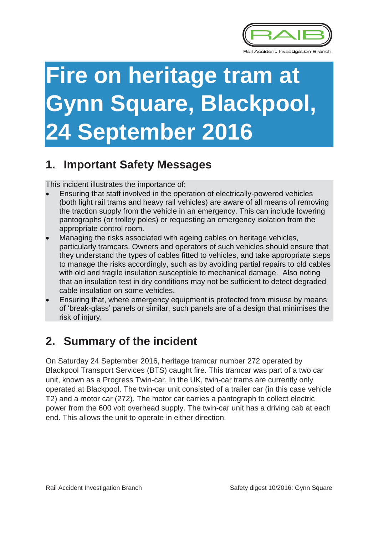

# **Fire on heritage tram at Gynn Square, Blackpool, 24 September 2016**

#### **1. Important Safety Messages**

This incident illustrates the importance of:

- Ensuring that staff involved in the operation of electrically-powered vehicles (both light rail trams and heavy rail vehicles) are aware of all means of removing the traction supply from the vehicle in an emergency. This can include lowering pantographs (or trolley poles) or requesting an emergency isolation from the appropriate control room.
- Managing the risks associated with ageing cables on heritage vehicles, particularly tramcars. Owners and operators of such vehicles should ensure that they understand the types of cables fitted to vehicles, and take appropriate steps to manage the risks accordingly, such as by avoiding partial repairs to old cables with old and fragile insulation susceptible to mechanical damage. Also noting that an insulation test in dry conditions may not be sufficient to detect degraded cable insulation on some vehicles.
- Ensuring that, where emergency equipment is protected from misuse by means of 'break-glass' panels or similar, such panels are of a design that minimises the risk of injury.

## **2. Summary of the incident**

On Saturday 24 September 2016, heritage tramcar number 272 operated by Blackpool Transport Services (BTS) caught fire. This tramcar was part of a two car unit, known as a Progress Twin-car. In the UK, twin-car trams are currently only operated at Blackpool. The twin-car unit consisted of a trailer car (in this case vehicle T2) and a motor car (272). The motor car carries a pantograph to collect electric power from the 600 volt overhead supply. The twin-car unit has a driving cab at each end. This allows the unit to operate in either direction.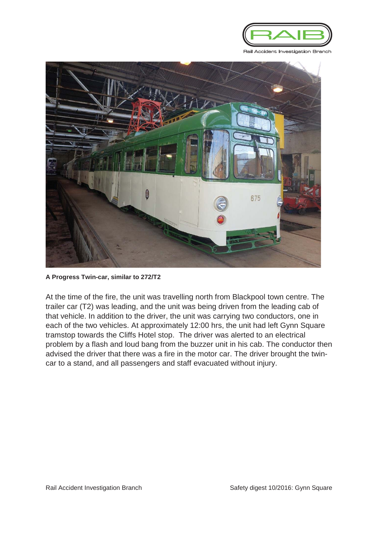

ccident Inv



**A Progress Twin-car, similar to 272/T2** 

At the time of the fire, the unit was travelling north from Blackpool town centre. The trailer car (T2) was leading, and the unit was being driven from the leading cab of that vehicle. In addition to the driver, the unit was carrying two conductors, one in each of the two vehicles. At approximately 12:00 hrs, the unit had left Gynn Square tramstop towards the Cliffs Hotel stop. The driver was alerted to an electrical problem by a flash and loud bang from the buzzer unit in his cab. The conductor then advised the driver that there was a fire in the motor car. The driver brought the twincar to a stand, and all passengers and staff evacuated without injury.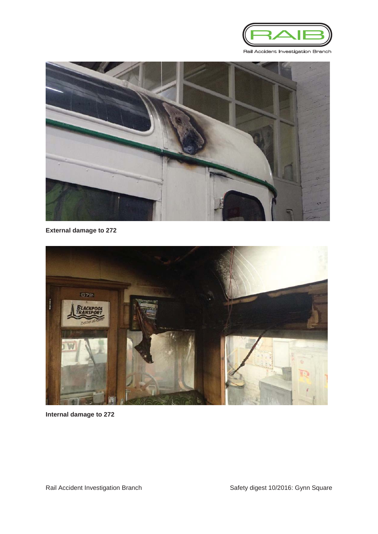

Rail Accident Investigation Br anch



**External damage to 272** 



**Internal damage to 272**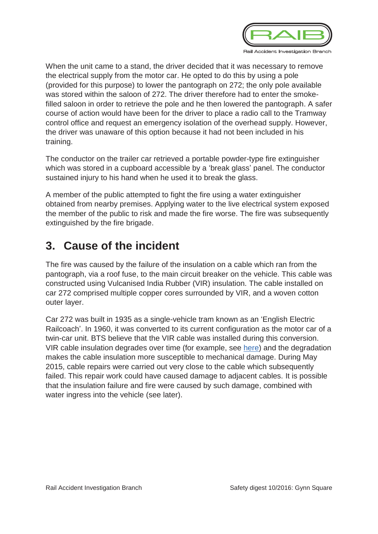

When the unit came to a stand, the driver decided that it was necessary to remove the electrical supply from the motor car. He opted to do this by using a pole (provided for this purpose) to lower the pantograph on 272; the only pole available was stored within the saloon of 272. The driver therefore had to enter the smokefilled saloon in order to retrieve the pole and he then lowered the pantograph. A safer course of action would have been for the driver to place a radio call to the Tramway control office and request an emergency isolation of the overhead supply. However, the driver was unaware of this option because it had not been included in his training.

The conductor on the trailer car retrieved a portable powder-type fire extinguisher which was stored in a cupboard accessible by a 'break glass' panel. The conductor sustained injury to his hand when he used it to break the glass.

A member of the public attempted to fight the fire using a water extinguisher obtained from nearby premises. Applying water to the live electrical system exposed the member of the public to risk and made the fire worse. The fire was subsequently extinguished by the fire brigade.

### **3. Cause of the incident**

The fire was caused by the failure of the insulation on a cable which ran from the pantograph, via a roof fuse, to the main circuit breaker on the vehicle. This cable was constructed using Vulcanised India Rubber (VIR) insulation. The cable installed on car 272 comprised multiple copper cores surrounded by VIR, and a woven cotton outer layer.

Car 272 was built in 1935 as a single-vehicle tram known as an 'English Electric Railcoach'. In 1960, it was converted to its current configuration as the motor car of a twin-car unit. BTS believe that the VIR cable was installed during this conversion. VIR cable insulation degrades over time (for example, see here) and the degradation makes the cable insulation more susceptible to mechanical damage. During May 2015, cable repairs were carried out very close to the cable which subsequently failed. This repair work could have caused damage to adjacent cables. It is possible that the insulation failure and fire were caused by such damage, combined with water ingress into the vehicle (see later).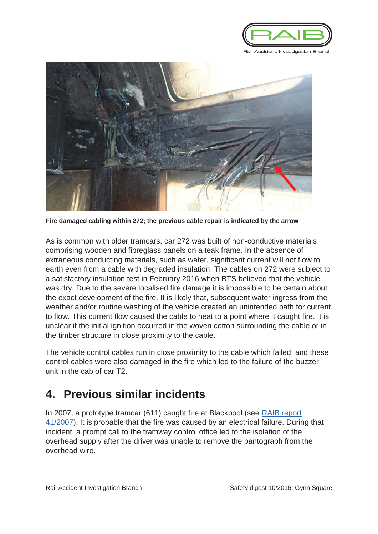



**Fire damaged cabling within 272; the previous cable repair is indicated by the arrow** 

As is common with older tramcars, car 272 was built of non-conductive materials comprising wooden and fibreglass panels on a teak frame. In the absence of extraneous conducting materials, such as water, significant current will not flow to earth even from a cable with degraded insulation. The cables on 272 were subject to a satisfactory insulation test in February 2016 when BTS believed that the vehicle was dry. Due to the severe localised fire damage it is impossible to be certain about the exact development of the fire. It is likely that, subsequent water ingress from the weather and/or routine washing of the vehicle created an unintended path for current to flow. This current flow caused the cable to heat to a point where it caught fire. It is unclear if the initial ignition occurred in the woven cotton surrounding the cable or in the timber structure in close proximity to the cable.

The vehicle control cables run in close proximity to the cable which failed, and these control cables were also damaged in the fire which led to the failure of the buzzer unit in the cab of car T2.

#### **4. Previous similar incidents**

In 2007, a prototype tramcar (611) caught fire at Blackpool (see RAIB report 41/2007). It is probable that the fire was caused by an electrical failure. During that incident, a prompt call to the tramway control office led to the isolation of the overhead supply after the driver was unable to remove the pantograph from the overhead wire.